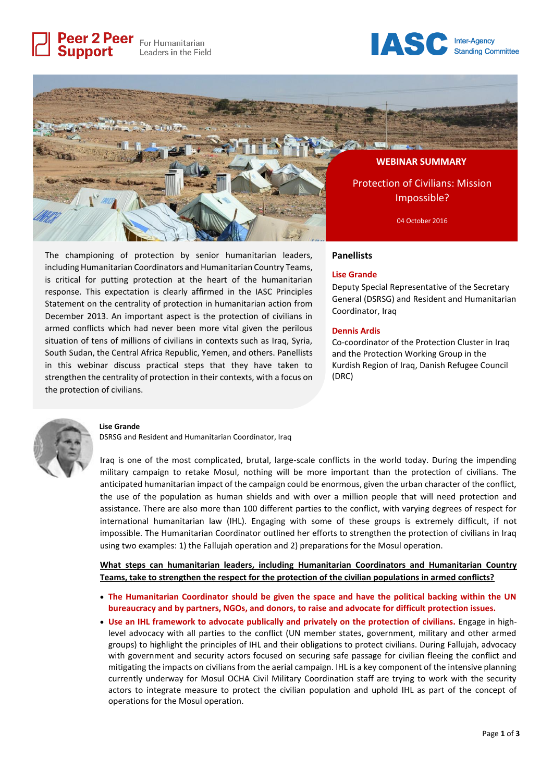Peer 2 Peer For Humanitarian Leaders in the Field

**Support** 





The championing of protection by senior humanitarian leaders, including Humanitarian Coordinators and Humanitarian Country Teams, is critical for putting protection at the heart of the humanitarian response. This expectation is clearly affirmed in the IASC Principles Statement on the centrality of protection in humanitarian action from December 2013. An important aspect is the protection of civilians in armed conflicts which had never been more vital given the perilous situation of tens of millions of civilians in contexts such as Iraq, Syria, South Sudan, the Central Africa Republic, Yemen, and others. Panellists in this webinar discuss practical steps that they have taken to strengthen the centrality of protection in their contexts, with a focus on the protection of civilians.

### **Panellists**

#### **Lise Grande**

Deputy Special Representative of the Secretary General (DSRSG) and Resident and Humanitarian Coordinator, Iraq

#### **Dennis Ardis**

Co-coordinator of the Protection Cluster in Iraq and the Protection Working Group in the Kurdish Region of Iraq, Danish Refugee Council (DRC)



#### **Lise Grande**

DSRSG and Resident and Humanitarian Coordinator, Iraq

Iraq is one of the most complicated, brutal, large-scale conflicts in the world today. During the impending military campaign to retake Mosul, nothing will be more important than the protection of civilians. The anticipated humanitarian impact of the campaign could be enormous, given the urban character of the conflict, the use of the population as human shields and with over a million people that will need protection and assistance. There are also more than 100 different parties to the conflict, with varying degrees of respect for international humanitarian law (IHL). Engaging with some of these groups is extremely difficult, if not impossible. The Humanitarian Coordinator outlined her efforts to strengthen the protection of civilians in Iraq using two examples: 1) the Fallujah operation and 2) preparations for the Mosul operation.

**What steps can humanitarian leaders, including Humanitarian Coordinators and Humanitarian Country Teams, take to strengthen the respect for the protection of the civilian populations in armed conflicts?**

- **The Humanitarian Coordinator should be given the space and have the political backing within the UN bureaucracy and by partners, NGOs, and donors, to raise and advocate for difficult protection issues.**
- **Use an IHL framework to advocate publically and privately on the protection of civilians.** Engage in highlevel advocacy with all parties to the conflict (UN member states, government, military and other armed groups) to highlight the principles of IHL and their obligations to protect civilians. During Fallujah, advocacy with government and security actors focused on securing safe passage for civilian fleeing the conflict and mitigating the impacts on civilians from the aerial campaign. IHL is a key component of the intensive planning currently underway for Mosul OCHA Civil Military Coordination staff are trying to work with the security actors to integrate measure to protect the civilian population and uphold IHL as part of the concept of operations for the Mosul operation.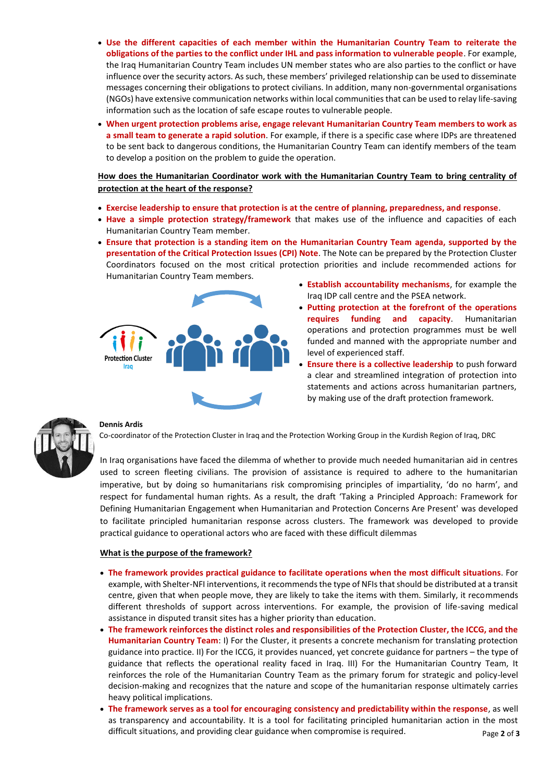- **Use the different capacities of each member within the Humanitarian Country Team to reiterate the obligations of the parties to the conflict under IHL and pass information to vulnerable people**. For example, the Iraq Humanitarian Country Team includes UN member states who are also parties to the conflict or have influence over the security actors. As such, these members' privileged relationship can be used to disseminate messages concerning their obligations to protect civilians. In addition, many non-governmental organisations (NGOs) have extensive communication networks within local communities that can be used to relay life-saving information such as the location of safe escape routes to vulnerable people.
- **When urgent protection problems arise, engage relevant Humanitarian Country Team members to work as a small team to generate a rapid solution**. For example, if there is a specific case where IDPs are threatened to be sent back to dangerous conditions, the Humanitarian Country Team can identify members of the team to develop a position on the problem to guide the operation.

# **How does the Humanitarian Coordinator work with the Humanitarian Country Team to bring centrality of protection at the heart of the response?**

- **Exercise leadership to ensure that protection is at the centre of planning, preparedness, and response**.
- **Have a simple protection strategy/framework** that makes use of the influence and capacities of each Humanitarian Country Team member.
- **Ensure that protection is a standing item on the Humanitarian Country Team agenda, supported by the presentation of the Critical Protection Issues (CPI) Note**. The Note can be prepared by the Protection Cluster Coordinators focused on the most critical protection priorities and include recommended actions for Humanitarian Country Team members.



- **Establish accountability mechanisms**, for example the Iraq IDP call centre and the PSEA network.
- **Putting protection at the forefront of the operations requires funding and capacity**. Humanitarian operations and protection programmes must be well funded and manned with the appropriate number and level of experienced staff.
- **Ensure there is a collective leadership** to push forward a clear and streamlined integration of protection into statements and actions across humanitarian partners, by making use of the draft protection framework.



### **Dennis Ardis**

Co-coordinator of the Protection Cluster in Iraq and the Protection Working Group in the Kurdish Region of Iraq, DRC

In Iraq organisations have faced the dilemma of whether to provide much needed humanitarian aid in centres used to screen fleeting civilians. The provision of assistance is required to adhere to the humanitarian imperative, but by doing so humanitarians risk compromising principles of impartiality, 'do no harm', and respect for fundamental human rights. As a result, the draft 'Taking a Principled Approach: Framework for Defining Humanitarian Engagement when Humanitarian and Protection Concerns Are Present' was developed to facilitate principled humanitarian response across clusters. The framework was developed to provide practical guidance to operational actors who are faced with these difficult dilemmas

## **What is the purpose of the framework?**

- **The framework provides practical guidance to facilitate operations when the most difficult situations**. For example, with Shelter-NFI interventions, it recommends the type of NFIs that should be distributed at a transit centre, given that when people move, they are likely to take the items with them. Similarly, it recommends different thresholds of support across interventions. For example, the provision of life-saving medical assistance in disputed transit sites has a higher priority than education.
- **The framework reinforces the distinct roles and responsibilities of the Protection Cluster, the ICCG, and the Humanitarian Country Team**: I) For the Cluster, it presents a concrete mechanism for translating protection guidance into practice. II) For the ICCG, it provides nuanced, yet concrete guidance for partners – the type of guidance that reflects the operational reality faced in Iraq. III) For the Humanitarian Country Team, It reinforces the role of the Humanitarian Country Team as the primary forum for strategic and policy-level decision-making and recognizes that the nature and scope of the humanitarian response ultimately carries heavy political implications.
- **The framework serves as a tool for encouraging consistency and predictability within the response**, as well as transparency and accountability. It is a tool for facilitating principled humanitarian action in the most difficult situations, and providing clear guidance when compromise is required.